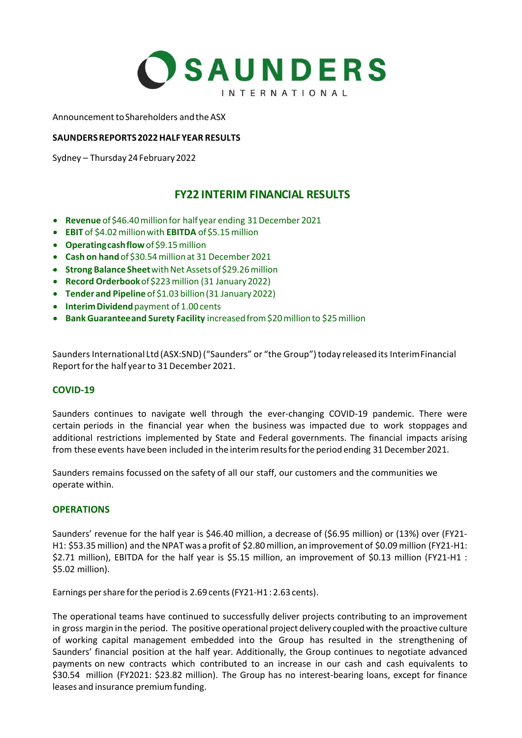

Announcement to Shareholders and the ASX

## **SAUNDERS REPORTS 2022 HALF YEAR RESULTS**

Sydney – Thursday 24 February 2022

# **FY22 INTERIM FINANCIAL RESULTS**

- **Revenue** of \$46.40 million for half year ending 31 December 2021
- **EBIT** of \$4.02 million with **EBITDA** of \$5.15 million
- **Operating cash flow**of \$9.15 million
- **Cash on hand**of \$30.54 million at 31 December 2021
- **Strong Balance Sheet**with Net Assets of \$29.26 million
- **Record Orderbook**of \$223 million (31 January 2022)
- **Tender and Pipeline** of \$1.03 billion (31 January 2022)
- **Interim Dividend** payment of 1.00 cents
- **Bank Guarantee and Surety Facility** increased from \$20 million to \$25 million

Saunders International Ltd (ASX:SND) ("Saunders" or "the Group") today released its Interim Financial Report for the half year to 31 December 2021.

### **COVID-19**

Saunders continues to navigate well through the ever-changing COVID-19 pandemic. There were certain periods in the financial year when the business was impacted due to work stoppages and additional restrictions implemented by State and Federal governments. The financial impacts arising from these events have been included in the interim results for the period ending 31 December 2021.

Saunders remains focussed on the safety of all our staff, our customers and the communities we operate within.

### **OPERATIONS**

Saunders' revenue for the half year is \$46.40 million, a decrease of (\$6.95 million) or (13%) over (FY21- H1: \$53.35million) and the NPAT was a profit of \$2.80million, an improvement of \$0.09million (FY21-H1: \$2.71 million), EBITDA for the half year is \$5.15 million, an improvement of \$0.13 million (FY21-H1 : \$5.02 million).

Earnings per share for the period is 2.69 cents (FY21-H1 : 2.63 cents).

The operational teams have continued to successfully deliver projects contributing to an improvement in gross margin in the period. The positive operational project delivery coupled with the proactive culture of working capital management embedded into the Group has resulted in the strengthening of Saunders' financial position at the half year. Additionally, the Group continues to negotiate advanced payments on new contracts which contributed to an increase in our cash and cash equivalents to \$30.54 million (FY2021: \$23.82 million). The Group has no interest-bearing loans, except for finance leases and insurance premium funding.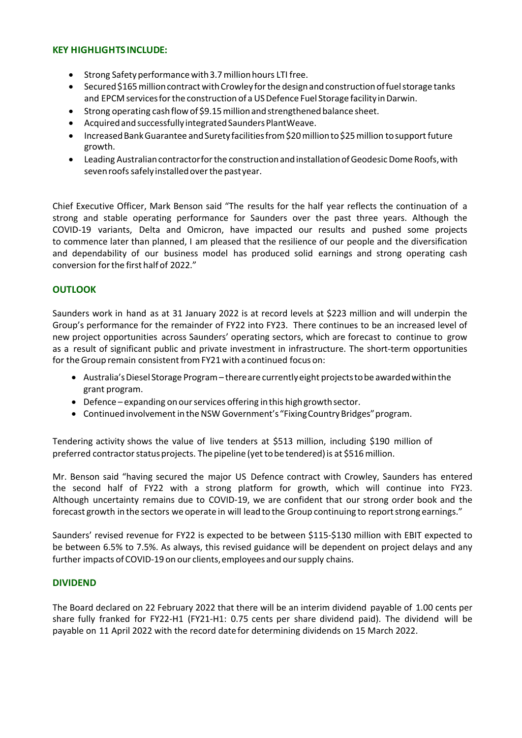## **KEY HIGHLIGHTS INCLUDE:**

- Strong Safety performance with 3.7 million hours LTI free.
- Secured \$165 million contract with Crowley for the design and construction of fuel storage tanks and EPCM services for the construction of a US Defence Fuel Storage facility in Darwin.
- Strong operating cash flow of \$9.15 million and strengthened balance sheet.
- Acquired and successfully integrated Saunders PlantWeave.
- Increased Bank Guarantee and Surety facilities from \$20 million to \$25 million to support future growth.
- Leading Australian contractor for the construction and installation of Geodesic Dome Roofs, with seven roofs safely installed over the past year.

Chief Executive Officer, Mark Benson said "The results for the half year reflects the continuation of a strong and stable operating performance for Saunders over the past three years. Although the COVID-19 variants, Delta and Omicron, have impacted our results and pushed some projects to commence later than planned, I am pleased that the resilience of our people and the diversification and dependability of our business model has produced solid earnings and strong operating cash conversion for the first half of 2022."

## **OUTLOOK**

Saunders work in hand as at 31 January 2022 is at record levels at \$223 million and will underpin the Group's performance for the remainder of FY22 into FY23. There continues to be an increased level of new project opportunities across Saunders' operating sectors, which are forecast to continue to grow as a result of significant public and private investment in infrastructure. The short-term opportunities for the Group remain consistent from FY21 with a continued focus on:

- Australia's Diesel Storage Program there are currently eight projects to be awarded within the grant program.
- Defence expanding on our services offering in this high growth sector.
- Continued involvement in the NSW Government's "Fixing Country Bridges" program.

Tendering activity shows the value of live tenders at \$513 million, including \$190 million of preferred contractor status projects. The pipeline (yet to be tendered) is at \$516 million.

Mr. Benson said "having secured the major US Defence contract with Crowley, Saunders has entered the second half of FY22 with a strong platform for growth, which will continue into FY23. Although uncertainty remains due to COVID-19, we are confident that our strong order book and the forecast growth in the sectors we operate in will lead to the Group continuing to report strong earnings."

Saunders' revised revenue for FY22 is expected to be between \$115-\$130 million with EBIT expected to be between 6.5% to 7.5%. As always, this revised guidance will be dependent on project delays and any further impacts of COVID-19 on our clients, employees and our supply chains.

### **DIVIDEND**

The Board declared on 22 February 2022 that there will be an interim dividend payable of 1.00 cents per share fully franked for FY22-H1 (FY21-H1: 0.75 cents per share dividend paid). The dividend will be payable on 11 April 2022 with the record date for determining dividends on 15 March 2022.